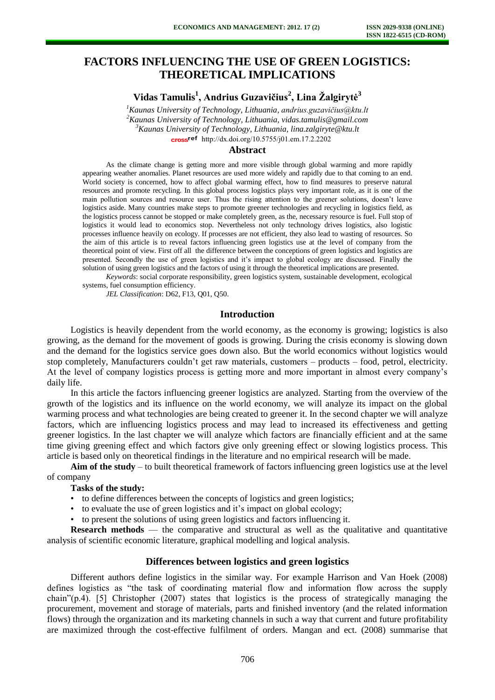# **FACTORS INFLUENCING THE USE OF GREEN LOGISTICS: THEORETICAL IMPLICATIONS**

**Vidas Tamulis<sup>1</sup> , Andrius Guzavičius<sup>2</sup> , Lina Žalgirytė<sup>3</sup>**

*Kaunas University of Technology, Lithuania, andrius.guzavičius@ktu.lt Kaunas University of Technology, Lithuania, vidas.tamulis@gmail.com Kaunas University of Technology, Lithuania, lina.zalgiryte@ktu.lt*  cross<sup>ref</sup> [http://dx.doi.org/10.5755/j01.e](http://dx.doi.org/10.5755/j01.em.17.2.2202)m.17.2.2202

#### **Abstract**

As the climate change is getting more and more visible through global warming and more rapidly appearing weather anomalies. Planet resources are used more widely and rapidly due to that coming to an end. World society is concerned, how to affect global warming effect, how to find measures to preserve natural resources and promote recycling. In this global process logistics plays very important role, as it is one of the main pollution sources and resource user. Thus the rising attention to the greener solutions, doesn't leave logistics aside. Many countries make steps to promote greener technologies and recycling in logistics field, as the logistics process cannot be stopped or make completely green, as the, necessary resource is fuel. Full stop of logistics it would lead to economics stop. Nevertheless not only technology drives logistics, also logistic processes influence heavily on ecology. If processes are not efficient, they also lead to wasting of resources. So the aim of this article is to reveal factors influencing green logistics use at the level of company from the theoretical point of view. First off all the difference between the conceptions of green logistics and logistics are presented. Secondly the use of green logistics and it's impact to global ecology are discussed. Finally the solution of using green logistics and the factors of using it through the theoretical implications are presented.

*Keywords*: social corporate responsibility, green logistics system, sustainable development, ecological systems, fuel consumption efficiency.

*JEL Classification*: D62, F13, Q01, Q50.

#### **Introduction**

Logistics is heavily dependent from the world economy, as the economy is growing; logistics is also growing, as the demand for the movement of goods is growing. During the crisis economy is slowing down and the demand for the logistics service goes down also. But the world economics without logistics would stop completely, Manufacturers couldn't get raw materials, customers – products – food, petrol, electricity. At the level of company logistics process is getting more and more important in almost every company's daily life.

In this article the factors influencing greener logistics are analyzed. Starting from the overview of the growth of the logistics and its influence on the world economy, we will analyze its impact on the global warming process and what technologies are being created to greener it. In the second chapter we will analyze factors, which are influencing logistics process and may lead to increased its effectiveness and getting greener logistics. In the last chapter we will analyze which factors are financially efficient and at the same time giving greening effect and which factors give only greening effect or slowing logistics process. This article is based only on theoretical findings in the literature and no empirical research will be made.

**Aim of the study** – to built theoretical framework of factors influencing green logistics use at the level of company

#### **Tasks of the study:**

- to define differences between the concepts of logistics and green logistics;
- to evaluate the use of green logistics and it's impact on global ecology;
- to present the solutions of using green logistics and factors influencing it.

**Research methods** — the comparative and structural as well as the qualitative and quantitative analysis of scientific economic literature, graphical modelling and logical analysis.

#### **Differences between logistics and green logistics**

Different authors define logistics in the similar way. For example Harrison and Van Hoek (2008) defines logistics as "the task of coordinating material flow and information flow across the supply chain"(p.4). [5] Christopher (2007) states that logistics is the process of strategically managing the procurement, movement and storage of materials, parts and finished inventory (and the related information flows) through the organization and its marketing channels in such a way that current and future profitability are maximized through the cost-effective fulfilment of orders. Mangan and ect. (2008) summarise that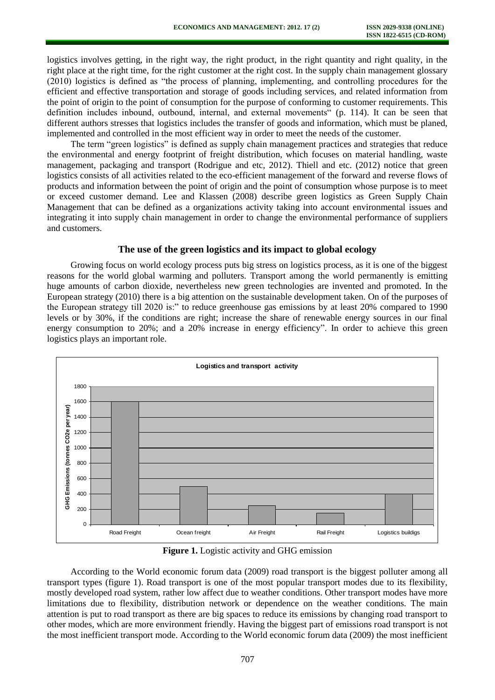logistics involves getting, in the right way, the right product, in the right quantity and right quality, in the right place at the right time, for the right customer at the right cost. In the supply chain management glossary (2010) logistics is defined as "the process of planning, implementing, and controlling procedures for the efficient and effective transportation and storage of goods including services, and related information from the point of origin to the point of consumption for the purpose of conforming to customer requirements. This definition includes inbound, outbound, internal, and external movements" (p. 114). It can be seen that different authors stresses that logistics includes the transfer of goods and information, which must be planed, implemented and controlled in the most efficient way in order to meet the needs of the customer.

The term "green logistics" is defined as supply chain management practices and strategies that reduce the environmental and energy footprint of freight distribution, which focuses on material handling, waste management, packaging and transport (Rodrigue and etc, 2012). Thiell and etc. (2012) notice that green logistics consists of all activities related to the eco-efficient management of the forward and reverse flows of products and information between the point of origin and the point of consumption whose purpose is to meet or exceed customer demand. Lee and Klassen (2008) describe green logistics as Green Supply Chain Management that can be defined as a organizations activity taking into account environmental issues and integrating it into supply chain management in order to change the environmental performance of suppliers and customers.

#### **The use of the green logistics and its impact to global ecology**

Growing focus on world ecology process puts big stress on logistics process, as it is one of the biggest reasons for the world global warming and polluters. Transport among the world permanently is emitting huge amounts of carbon dioxide, nevertheless new green technologies are invented and promoted. In the European strategy (2010) there is a big attention on the sustainable development taken. On of the purposes of the European strategy till 2020 is:" to reduce greenhouse gas emissions by at least 20% compared to 1990 levels or by 30%, if the conditions are right; increase the share of renewable energy sources in our final energy consumption to 20%; and a 20% increase in energy efficiency". In order to achieve this green logistics plays an important role.



**Figure 1.** Logistic activity and GHG emission

According to the World economic forum data (2009) road transport is the biggest polluter among all transport types (figure 1). Road transport is one of the most popular transport modes due to its flexibility, mostly developed road system, rather low affect due to weather conditions. Other transport modes have more limitations due to flexibility, distribution network or dependence on the weather conditions. The main attention is put to road transport as there are big spaces to reduce its emissions by changing road transport to other modes, which are more environment friendly. Having the biggest part of emissions road transport is not the most inefficient transport mode. According to the World economic forum data (2009) the most inefficient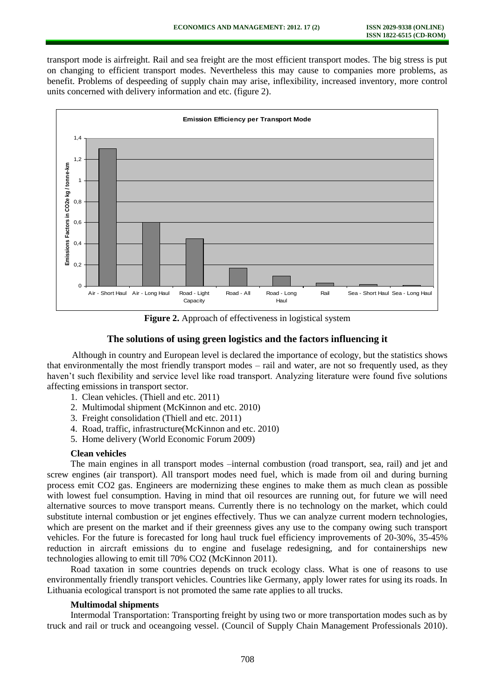transport mode is airfreight. Rail and sea freight are the most efficient transport modes. The big stress is put on changing to efficient transport modes. Nevertheless this may cause to companies more problems, as benefit. Problems of despeeding of supply chain may arise, inflexibility, increased inventory, more control units concerned with delivery information and etc. (figure 2).



**Figure 2.** Approach of effectiveness in logistical system

### **The solutions of using green logistics and the factors influencing it**

Although in country and European level is declared the importance of ecology, but the statistics shows that environmentally the most friendly transport modes – rail and water, are not so frequently used, as they haven't such flexibility and service level like road transport. Analyzing literature were found five solutions affecting emissions in transport sector.

- 1. Clean vehicles. (Thiell and etc. 2011)
- 2. Multimodal shipment (McKinnon and etc. 2010)
- 3. Freight consolidation (Thiell and etc. 2011)
- 4. Road, traffic, infrastructure(McKinnon and etc. 2010)
- 5. Home delivery (World Economic Forum 2009)

### **Clean vehicles**

The main engines in all transport modes –internal combustion (road transport, sea, rail) and jet and screw engines (air transport). All transport modes need fuel, which is made from oil and during burning process emit CO2 gas. Engineers are modernizing these engines to make them as much clean as possible with lowest fuel consumption. Having in mind that oil resources are running out, for future we will need alternative sources to move transport means. Currently there is no technology on the market, which could substitute internal combustion or jet engines effectively. Thus we can analyze current modern technologies, which are present on the market and if their greenness gives any use to the company owing such transport vehicles. For the future is forecasted for long haul truck fuel efficiency improvements of 20-30%, 35-45% reduction in aircraft emissions du to engine and fuselage redesigning, and for containerships new technologies allowing to emit till 70% CO2 (McKinnon 2011).

Road taxation in some countries depends on truck ecology class. What is one of reasons to use environmentally friendly transport vehicles. Countries like Germany, apply lower rates for using its roads. In Lithuania ecological transport is not promoted the same rate applies to all trucks.

#### **Multimodal shipments**

Intermodal Transportation: Transporting freight by using two or more transportation modes such as by truck and rail or truck and oceangoing vessel. (Council of Supply Chain Management Professionals 2010).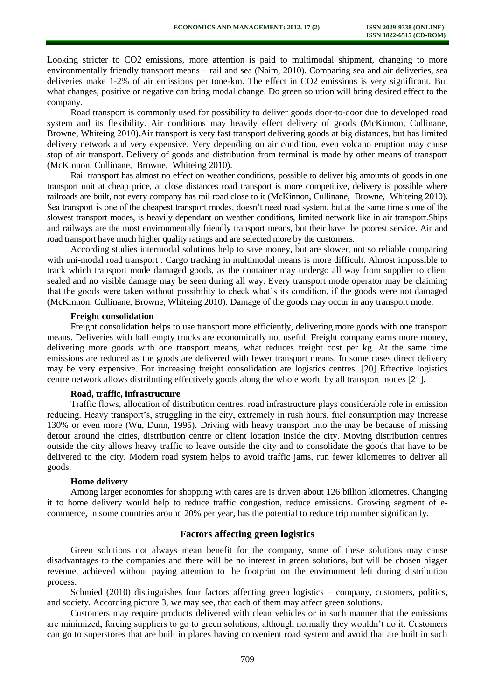Looking stricter to CO2 emissions, more attention is paid to multimodal shipment, changing to more environmentally friendly transport means – rail and sea (Naim, 2010). Comparing sea and air deliveries, sea deliveries make 1-2% of air emissions per tone-km. The effect in CO2 emissions is very significant. But what changes, positive or negative can bring modal change. Do green solution will bring desired effect to the company.

Road transport is commonly used for possibility to deliver goods door-to-door due to developed road system and its flexibility. Air conditions may heavily effect delivery of goods (McKinnon, Cullinane, Browne, Whiteing 2010).Air transport is very fast transport delivering goods at big distances, but has limited delivery network and very expensive. Very depending on air condition, even volcano eruption may cause stop of air transport. Delivery of goods and distribution from terminal is made by other means of transport (McKinnon, Cullinane, Browne, Whiteing 2010).

Rail transport has almost no effect on weather conditions, possible to deliver big amounts of goods in one transport unit at cheap price, at close distances road transport is more competitive, delivery is possible where railroads are built, not every company has rail road close to it (McKinnon, Cullinane, Browne, Whiteing 2010). Sea transport is one of the cheapest transport modes, doesn't need road system, but at the same time s one of the slowest transport modes, is heavily dependant on weather conditions, limited network like in air transport.Ships and railways are the most environmentally friendly transport means, but their have the poorest service. Air and road transport have much higher quality ratings and are selected more by the customers.

According studies intermodal solutions help to save money, but are slower, not so reliable comparing with uni-modal road transport . Cargo tracking in multimodal means is more difficult. Almost impossible to track which transport mode damaged goods, as the container may undergo all way from supplier to client sealed and no visible damage may be seen during all way. Every transport mode operator may be claiming that the goods were taken without possibility to check what's its condition, if the goods were not damaged (McKinnon, Cullinane, Browne, Whiteing 2010). Damage of the goods may occur in any transport mode.

#### **Freight consolidation**

Freight consolidation helps to use transport more efficiently, delivering more goods with one transport means. Deliveries with half empty trucks are economically not useful. Freight company earns more money, delivering more goods with one transport means, what reduces freight cost per kg. At the same time emissions are reduced as the goods are delivered with fewer transport means. In some cases direct delivery may be very expensive. For increasing freight consolidation are logistics centres. [20] Effective logistics centre network allows distributing effectively goods along the whole world by all transport modes [21].

#### **Road, traffic, infrastructure**

Traffic flows, allocation of distribution centres, road infrastructure plays considerable role in emission reducing. Heavy transport's, struggling in the city, extremely in rush hours, fuel consumption may increase 130% or even more (Wu, Dunn, 1995). Driving with heavy transport into the may be because of missing detour around the cities, distribution centre or client location inside the city. Moving distribution centres outside the city allows heavy traffic to leave outside the city and to consolidate the goods that have to be delivered to the city. Modern road system helps to avoid traffic jams, run fewer kilometres to deliver all goods.

#### **Home delivery**

Among larger economies for shopping with cares are is driven about 126 billion kilometres. Changing it to home delivery would help to reduce traffic congestion, reduce emissions. Growing segment of ecommerce, in some countries around 20% per year, has the potential to reduce trip number significantly.

#### **Factors affecting green logistics**

Green solutions not always mean benefit for the company, some of these solutions may cause disadvantages to the companies and there will be no interest in green solutions, but will be chosen bigger revenue, achieved without paying attention to the footprint on the environment left during distribution process.

Schmied (2010) distinguishes four factors affecting green logistics – company, customers, politics, and society. According picture 3, we may see, that each of them may affect green solutions.

Customers may require products delivered with clean vehicles or in such manner that the emissions are minimized, forcing suppliers to go to green solutions, although normally they wouldn't do it. Customers can go to superstores that are built in places having convenient road system and avoid that are built in such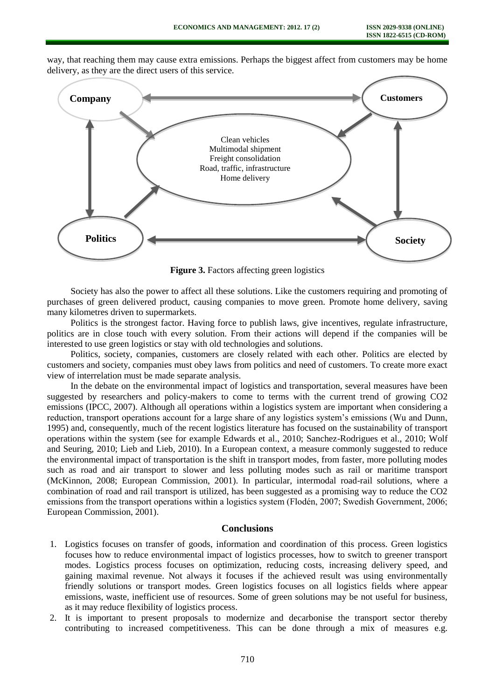way, that reaching them may cause extra emissions. Perhaps the biggest affect from customers may be home delivery, as they are the direct users of this service.



**Figure 3.** Factors affecting green logistics

Society has also the power to affect all these solutions. Like the customers requiring and promoting of purchases of green delivered product, causing companies to move green. Promote home delivery, saving many kilometres driven to supermarkets.

Politics is the strongest factor. Having force to publish laws, give incentives, regulate infrastructure, politics are in close touch with every solution. From their actions will depend if the companies will be interested to use green logistics or stay with old technologies and solutions.

Politics, society, companies, customers are closely related with each other. Politics are elected by customers and society, companies must obey laws from politics and need of customers. To create more exact view of interrelation must be made separate analysis.

In the debate on the environmental impact of logistics and transportation, several measures have been suggested by researchers and policy-makers to come to terms with the current trend of growing CO2 emissions (IPCC, 2007). Although all operations within a logistics system are important when considering a reduction, transport operations account for a large share of any logistics system's emissions (Wu and Dunn, 1995) and, consequently, much of the recent logistics literature has focused on the sustainability of transport operations within the system (see for example Edwards et al., 2010; Sanchez-Rodrigues et al., 2010; Wolf and Seuring, 2010; Lieb and Lieb, 2010). In a European context, a measure commonly suggested to reduce the environmental impact of transportation is the shift in transport modes, from faster, more polluting modes such as road and air transport to slower and less polluting modes such as rail or maritime transport (McKinnon, 2008; European Commission, 2001). In particular, intermodal road-rail solutions, where a combination of road and rail transport is utilized, has been suggested as a promising way to reduce the CO2 emissions from the transport operations within a logistics system (Flodén, 2007; Swedish Government, 2006; European Commission, 2001).

## **Conclusions**

- 1. Logistics focuses on transfer of goods, information and coordination of this process. Green logistics focuses how to reduce environmental impact of logistics processes, how to switch to greener transport modes. Logistics process focuses on optimization, reducing costs, increasing delivery speed, and gaining maximal revenue. Not always it focuses if the achieved result was using environmentally friendly solutions or transport modes. Green logistics focuses on all logistics fields where appear emissions, waste, inefficient use of resources. Some of green solutions may be not useful for business, as it may reduce flexibility of logistics process.
- 2. It is important to present proposals to modernize and decarbonise the transport sector thereby contributing to increased competitiveness. This can be done through a mix of measures e.g.